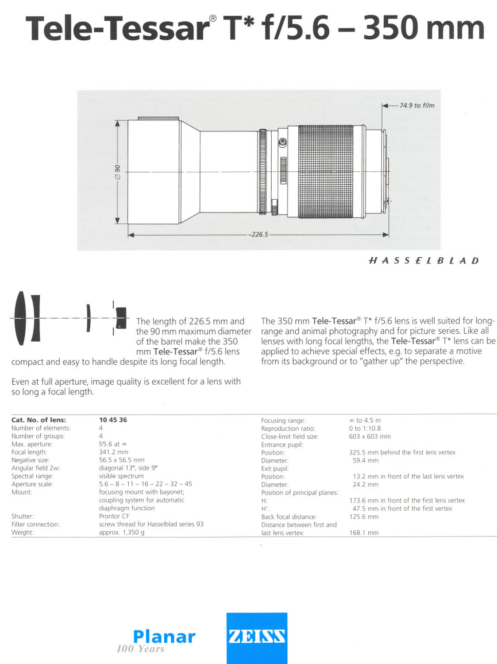# **Tele-Tessar@T\*f/5.6 - 350 mm**



HASSElBlAD

The length of 226.5 mm and<br>the 90 mm maximum diameter of the barrel make the 350 mm Tele-Tessar<sup>®</sup> f/5.6 lens

compact and easy to handle despite its long focal length.

**()** 

Even at full aperture, image quality is excellent for a lens with so long a focal length.

The 350 mm Tele-Tessar<sup>®</sup> T\* f/5.6 lens is well suited for longrange and animal photography and tor picture series. Like all lenses with long focal lengths, the Tele-Tessar<sup>®</sup> T\* lens can be applied to achieve special effects, e.g. to separate a motive from its background or to "gather up" the perspective.

| Cat. No. of lens:   | 10 45 36                              | Focusing range:               | $\infty$ to 4.5 m                          |
|---------------------|---------------------------------------|-------------------------------|--------------------------------------------|
| Number of elements: |                                       | Reproduction ratio:           | $0$ to $1:10.8$                            |
| Number of groups:   |                                       | Close-limit field size:       | $603 \times 603$ mm                        |
| Max. aperture:      | $f/5.6$ at $\infty$                   | Entrance pupil:               |                                            |
| Focal length:       | 341.2 mm                              | Position:                     | 325.5 mm behind the first lens vertex      |
| Negative size:      | 56.5 x 56.5 mm                        | Diameter:                     | 59.4 mm                                    |
| Angular field 2w:   | diagonal 13°, side 9°                 | Exit pupil:                   |                                            |
| Spectral range:     | visible spectrum                      | Position:                     | 13.2 mm in front of the last lens vertex   |
| Aperture scale:     | $5.6 - 8 - 11 - 16 - 22 - 32 - 45$    | Diameter:                     | 24.2 mm                                    |
| Mount:              | focusing mount with bayonet;          | Position of principal planes: |                                            |
|                     | coupling system for automatic         | H:                            | 173.6 mm in front of the first lens vertex |
|                     | diaphragm function                    | H':                           | 47.5 mm in front of the first vertex       |
| Shutter:            | Prontor CF                            | Back focal distance:          | 125.6 mm                                   |
| Filter connection:  | screw thread for Hasselblad series 93 | Distance between first and    |                                            |
| Weight:             | approx. 1,350 g                       | last lens vertex:             | 168.1 mm                                   |